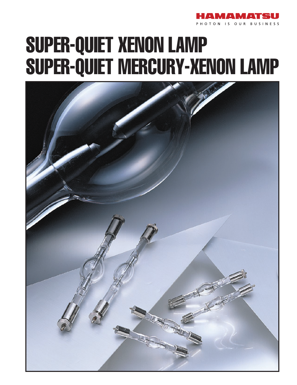

# SUPER-QUIET XENON LAMP SUPER-QUIET MERCURY-XENON LAMP

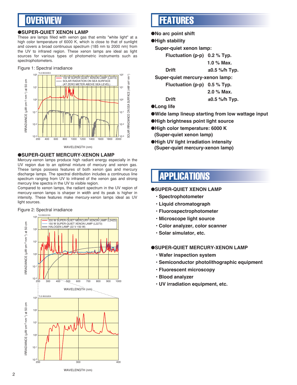### **OVERVIEW**

### ●**SUPER-QUIET XENON LAMP**

These are lamps filled with xenon gas that emits "white light" at a high color temperature of 6000 K, which is close to that of sunlight and covers a broad continuous spectrum (185 nm to 2000 nm) from the UV to infrared region. These xenon lamps are ideal as light sources for various types of photometric instruments such as spectrophotometers.

### Figure 1: Spectral irradiance



### ●**SUPER-QUIET MERCURY-XENON LAMP**

Mercury-xenon lamps produce high radiant energy especially in the UV region due to an optimal mixture of mercury and xenon gas. These lamps possess features of both xenon gas and mercury discharge lamps. The spectral distribution includes a continuous line spectrum ranging from UV to infrared of the xenon gas and strong mercury line spectra in the UV to visible region.

Compared to xenon lamps, the radiant spectrum in the UV region of mercury-xenon lamps is sharper in width and its peak is higher in intensity. These features make mercury-xenon lamps ideal as UV light sources.



### FEATURES

●**No arc point shift**

### ●**High stability**

**Super-quiet xenon lamp:**

**Fluctuation (p-p) 0.2 % Typ.**

 **1.0 % Max.**

**Drift ±0.5 %/h Typ.**

**Super-quiet mercury-xenon lamp:**

**Fluctuation (p-p) 0.5 % Typ.**

 **2.0 % Max.**

**Drift ±0.5 %/h Typ.**

### ●**Long life**

- ●**Wide lamp lineup starting from low wattage input**
- ●**High brightness point light source**
- ●**High color temperature: 6000 K (Super-quiet xenon lamp)**
- ●**High UV light irradiation intensity (Super-quiet mercury-xenon lamp)**

### APPLICATIONS

### ●**SUPER-QUIET XENON LAMP**

- **Spectrophotometer**
- **Liquid chromatograph**
- **Fluorospectrophotometer**
- **Microscope light source**
- **Color analyzer, color scanner**
- **Solar simulator, etc.**

### ●**SUPER-QUIET MERCURY-XENON LAMP**

- **Wafer inspection system**
- **Semiconductor photolithographic equipment**
- **Fluorescent microscopy**
- **Blood analyzer**
- **UV irradiation equipment, etc.**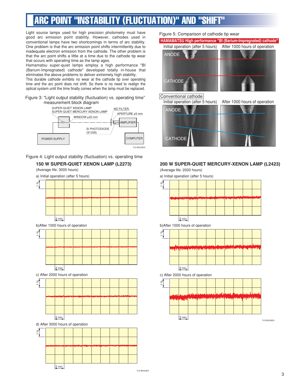## ARC POINT "INSTABILITY (FLUCTUATION)" AND "SH

Light source lamps used for high precision photometry must have good arc emission point stability. However, cathodes used in conventional lamps have two shortcomings in terms of arc stability. One problem is that the arc emission point shifts intermittently due to inadequate electron emission from the cathode. The other problem is that the arc point shifts a little at a time due to the cathode tip wear that occurs with operating time as the lamp ages.

Hamamatsu super-quiet lamps employ a high performance "BI (Barium-Impregnated) cathode" developed totally in-house that eliminates the above problems to deliver extremely high stability.

This durable cathode exhibits no wear at the cathode tip over operating time and the arc point does not shift. So there is no need to realign the optical system until the time finally comes when the lamp must be replaced.

### Figure 3: "Light output stability (fluctuation) vs. operating time" measurement block diagram



Figure 4: Light output stability (fluctuation) vs. operating time

### **150 W SUPER-QUIET XENON LAMP (L2273)**

(Average life: 3000 hours)

a) Initial operation (after 5 hours)



b)After 1000 hours of operation



c) After 2000 hours of operation



d) After 3000 hours of operation



Figure 5: Comparison of cathode tip wear

## ANODE **CATHODE HAMAMATSU High performance "BI (Barium-Impregnated) cathode"** Initial operation (after 5 hours) After 1000 hours of operation

### Conventional cathode



### **200 W SUPER-QUIET MERCURY-XENON LAMP (L2423)**

(Average life: 2000 hours)

a) Initial operation (after 5 hours)

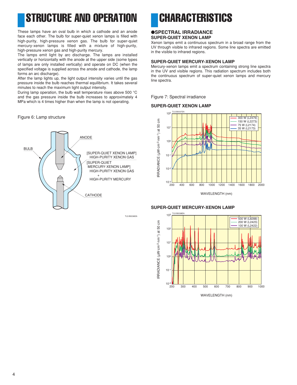## STRUCTURE AND OPERATION **CHARACTERISTICS**

These lamps have an oval bulb in which a cathode and an anode face each other. The bulb for super-quiet xenon lamps is filled with high-purity, high-pressure xenon gas. The bulb for super-quiet mercury-xenon lamps is filled with a mixture of high-purity, high-pressure xenon gas and high-purity mercury.

The lamps emit light by arc discharge. The lamps are installed vertically or horizontally with the anode at the upper side (some types of lamps are only installed vertically) and operate on DC (when the specified voltage is supplied across the anode and cathode, the lamp forms an arc discharge).

After the lamp lights up, the light output intensity varies until the gas pressure inside the bulb reaches thermal equilibrium. It takes several minutes to reach the maximum light output intensity.

During lamp operation, the bulb wall temperature rises above 500 °C and the gas pressure inside the bulb increases to approximately 4 MPa which is 4 times higher than when the lamp is not operating.

### Figure 6: Lamp structure



TLS B0036EA

### ●**SPECTRAL IRRADIANCE SUPER-QUIET XENON LAMP**

Xenon lamps emit a continuous spectrum in a broad range from the UV through visible to infrared regions. Some line spectra are emitted in the visible to infrared regions.

### **SUPER-QUIET MERCURY-XENON LAMP**

Mercury-xenon lamps emit a spectrum containing strong line spectra in the UV and visible regions. This radiation spectrum includes both the continuous spectrum of super-quiet xenon lamps and mercury line spectra.

Figure 7: Spectral irradiance

### **SUPER-QUIET XENON LAMP**



WAVELENGTH (nm)

### **SUPER-QUIET MERCURY-XENON LAMP**



WAVELENGTH (nm)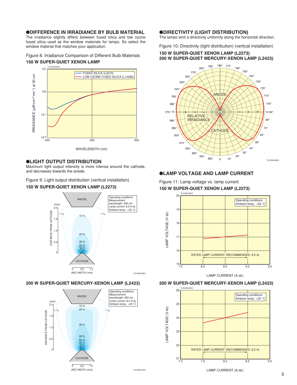### ●**DIFFERENCE IN IRRADIANCE BY BULB MATERIAL**

The irradiance slightly differs between fused silica and low ozone fused silica used as the window materials for lamps. So select the window material that matches your application.

Figure 8: Irradiance Comparison of Different Bulb Materials **150 W SUPER-QUIET XENON LAMP**



### ●**LIGHT OUTPUT DISTRIBUTION**

Maximum light output intensity is more intense around the cathode, and decreases towards the anode.

Figure 9: Light output distribution (vertical installation)

### **150 W SUPER-QUIET XENON LAMP (L2273)**



### **200 W SUPER-QUIET MERCURY-XENON LAMP (L2423)**



### ●**DIRECTIVITY (LIGHT DISTRIBUTION)**

The lamps emit a directivity uniformly along the horizontal direction.

### Figure 10: Directivity (light distribution) (vertical installation) **150 W SUPER-QUIET XENON LAMP (L2273) 200 W SUPER-QUIET MERCURY-XENON LAMP (L2423)**



### ●**LAMP VOLTAGE AND LAMP CURRENT**

Figure 11: Lamp voltage vs. lamp current **150 W SUPER-QUIET XENON LAMP (L2273)**



LAMP CURRENT (A dc)



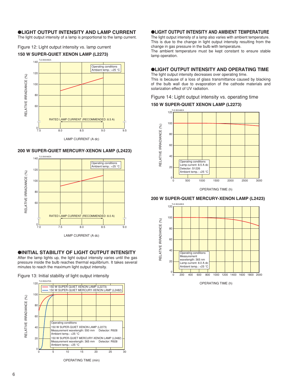### ●**LIGHT OUTPUT INTENSITY AND LAMP CURRENT**

The light output intensity of a lamp is proportional to the lamp current.

Figure 12: Light output intensity vs. lamp current





### **200 W SUPER-QUIET MERCURY-XENON LAMP (L2423)**



LAMP CURRENT (A dc)

### ●**INITIAL STABILITY OF LIGHT OUTPUT INTENSITY**

After the lamp lights up, the light output intensity varies until the gas pressure inside the bulb reaches thermal equilibrium. It takes several minutes to reach the maximum light output intensity.

Figure 13: Initial stability of light output intensity



OPERATING TIME (min)

### ●**LIGHT OUTPUT INTENSITY AND AMBIENT TEMPERATURE**

The light output intensity of a lamp also varies with ambient temperature. This is due to the change in light output intensity resulting from the change in gas pressure in the bulb with temperature.

The ambient temperature must be kept constant to ensure stable lamp operation.

### ●**LIGHT OUTPUT INTENSITY AND OPERATING TIME**

The light output intensity decreases over operating time. This is because of a loss of glass transmittance caused by blacking of the bulb wall due to evaporation of the cathode materials and solarization effect of UV radiation.

### Figure 14: Light output intensity vs. operating time

### **150 W SUPER-QUIET XENON LAMP (L2273)**



OPERATING TIME (h)

### **200 W SUPER-QUIET MERCURY-XENON LAMP (L2423)**



OPERATING TIME (h)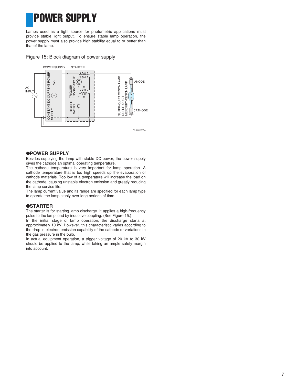## POWER SUPPLY

Lamps used as a light source for photometric applications must provide stable light output. To ensure stable lamp operation, the power supply must also provide high stability equal to or better than that of the lamp.

Figure 15: Block diagram of power supply



### ●**POWER SUPPLY**

Besides supplying the lamp with stable DC power, the power supply gives the cathode an optimal operating temperature.

The cathode temperature is very important for lamp operation. A cathode temperature that is too high speeds up the evaporation of cathode materials. Too low of a temperature will increase the load on the cathode, causing unstable electron emission and greatly reducing the lamp service life.

The lamp current value and its range are specified for each lamp type to operate the lamp stably over long periods of time.

### ●**STARTER**

The starter is for starting lamp discharge. It applies a high-frequency pulse to the lamp load by inductive coupling. (See Figure 15.)

In the initial stage of lamp operation, the discharge starts at approximately 10 kV. However, this characteristic varies according to the drop in electron emission capability of the cathode or variations in the gas pressure in the bulb.

In actual equipment operation, a trigger voltage of 20 kV to 30 kV should be applied to the lamp, while taking an ample safety margin into account.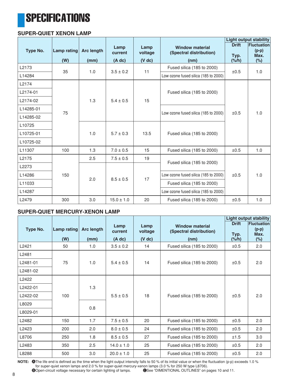## **SPECIFICATIONS**

### **SUPER-QUIET XENON LAMP**

|           |                    |                    |                |                         |                                      | <b>Light output stability</b> |                               |  |
|-----------|--------------------|--------------------|----------------|-------------------------|--------------------------------------|-------------------------------|-------------------------------|--|
| Type No.  | <b>Lamp rating</b> | <b>Arc length</b>  | Lamp           | Lamp                    | <b>Window material</b>               | <b>Drift</b>                  | <b>Fluctuation</b><br>$(p-p)$ |  |
|           |                    | voltage<br>current |                | (Spectral distribution) | Typ.                                 | Max.                          |                               |  |
|           | (W)                | (mm)               | $(A \, dc)$    | $(V$ dc)                | (nm)                                 | $(\frac{9}{6}h)$              | $(\%)$                        |  |
| L2173     | 35                 | 1.0                | $3.5 \pm 0.2$  | 11                      | Fused silica (185 to 2000)           | ±0.5                          | 1.0                           |  |
| L14284    |                    |                    |                |                         | Low ozone fused silica (185 to 2000) |                               |                               |  |
| L2174     |                    |                    |                |                         |                                      |                               |                               |  |
| L2174-01  |                    |                    |                |                         | Fused silica (185 to 2000)           |                               |                               |  |
| L2174-02  |                    | 1.3                | $5.4 \pm 0.5$  | 15                      |                                      |                               |                               |  |
| L14285-01 |                    |                    |                |                         | ±0.5                                 | 1.0                           |                               |  |
| L14285-02 | 75                 |                    |                |                         | Low ozone fused silica (185 to 2000) |                               |                               |  |
| L10725    |                    |                    |                |                         |                                      |                               |                               |  |
| L10725-01 |                    | 1.0                | $5.7 \pm 0.3$  | 13.5                    | Fused silica (185 to 2000)           |                               |                               |  |
| L10725-02 |                    |                    |                |                         |                                      |                               |                               |  |
| L11307    | 100                | 1.3                | $7.0 \pm 0.5$  | 15                      | Fused silica (185 to 2000)           | ±0.5                          | 1.0                           |  |
| L2175     |                    | 2.5                | $7.5 \pm 0.5$  | 19                      |                                      |                               |                               |  |
| L2273     |                    |                    |                |                         | Fused silica (185 to 2000)           |                               |                               |  |
| L14286    | 150                | 2.0                | $8.5 \pm 0.5$  | 17                      | Low ozone fused silica (185 to 2000) |                               | 1.0                           |  |
| L11033    |                    |                    |                |                         | Fused silica (185 to 2000)           |                               |                               |  |
| L14287    |                    |                    |                |                         | Low ozone fused silica (185 to 2000) |                               |                               |  |
| L2479     | 300                | 3.0                | $15.0 \pm 1.0$ | 20                      | Fused silica (185 to 2000)           | ±0.5                          | 1.0                           |  |

### **SUPER-QUIET MERCURY-XENON LAMP**

|          |                    |                   | <b>Light output stability</b> |                 |                                                   |                      |                                       |
|----------|--------------------|-------------------|-------------------------------|-----------------|---------------------------------------------------|----------------------|---------------------------------------|
| Type No. | <b>Lamp rating</b> | <b>Arc length</b> | Lamp<br>current               | Lamp<br>voltage | <b>Window material</b><br>(Spectral distribution) | <b>Drift</b><br>Typ. | <b>Fluctuation</b><br>$(p-p)$<br>Max. |
|          | (W)                | (mm)              | $(A \, dc)$                   | $(V$ dc)        | (nm)                                              | $(\frac{9}{6})$      | $(\%)$                                |
| L2421    | 50                 | 1.0               | $3.5 \pm 0.2$                 | 14              | Fused silica (185 to 2000)                        | ±0.5                 | 2.0                                   |
| L2481    |                    |                   |                               |                 |                                                   |                      |                                       |
| L2481-01 | 75                 | 1.0               | $5.4 \pm 0.5$                 | 14              | Fused silica (185 to 2000)                        | ±0.5                 | 2.0                                   |
| L2481-02 |                    |                   |                               |                 |                                                   |                      |                                       |
| L2422    |                    |                   |                               |                 |                                                   |                      |                                       |
| L2422-01 |                    | 1.3               | $5.5 \pm 0.5$                 | 18              | Fused silica (185 to 2000)                        |                      |                                       |
| L2422-02 | 100                |                   |                               |                 |                                                   | ±0.5                 | 2.0                                   |
| L8029    |                    |                   |                               |                 |                                                   |                      |                                       |
| L8029-01 |                    | 0.8               |                               |                 |                                                   |                      |                                       |
| L2482    | 150                | 1.7               | $7.5 \pm 0.5$                 | 20              | Fused silica (185 to 2000)                        | ±0.5                 | 2.0                                   |
| L2423    | 200                | 2.0               | $8.0 \pm 0.5$                 | 24              | Fused silica (185 to 2000)                        | ±0.5                 | 2.0                                   |
| L8706    | 250                | 1.8               | $8.5 \pm 0.5$                 | 27              | Fused silica (185 to 2000)                        | ±1.5                 | 3.0                                   |
| L2483    | 350                | 2.5               | $14.0 \pm 1.0$                | 25              | Fused silica (185 to 2000)                        | ±0.5                 | 2.0                                   |
| L8288    | 500                | 3.0               | $20.0 \pm 1.0$                | 25              | Fused silica (185 to 2000)                        | ±0.5                 | 2.0                                   |

**NOTE:** AThe life end is defined as the time when the light output intensity falls to 50 % of its initial value or when the fluctuation (p-p) exceeds 1.0 % for super-quiet xenon lamps and 2.0 % for super-quiet mercury-xenon lamps (3.0 % for 250 W type L8706).

**B**Open-circuit voltage necessary for certain lighting of lamps. <br>
GSee "DIMENTIONAL OUTLINES" on pages 10 and 11.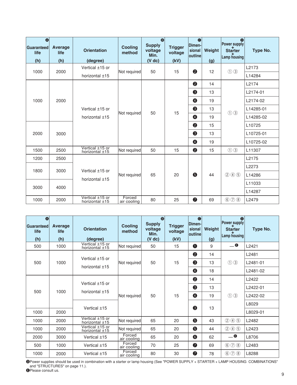| $\bullet$<br>Guaranteed<br>life<br>(h) | Average<br>life<br>(h) | <b>Orientation</b><br>(degree)      | <b>Cooling</b><br>method | $\bullet$<br><b>Supply</b><br>voltage<br>Min.<br>$(V$ dc) | <b>Trigger</b><br>voltage<br>(kV) | $\bullet$<br>Dimen-<br>sional<br><b>outline</b> | Weight<br>(g) | $\bullet$<br>Power supply<br>$\overrightarrow{\text{Starter}}$<br>Lamp housing | Type No.  |
|----------------------------------------|------------------------|-------------------------------------|--------------------------|-----------------------------------------------------------|-----------------------------------|-------------------------------------------------|---------------|--------------------------------------------------------------------------------|-----------|
| 1000                                   | 2000                   | Vertical ±15 or                     |                          | 50                                                        |                                   | $\boldsymbol{2}$                                |               |                                                                                | L2173     |
|                                        |                        | horizontal $±15$                    | Not required             |                                                           | 15                                |                                                 | 12            | $\odot$ $\odot$                                                                | L14284    |
|                                        |                        |                                     |                          |                                                           |                                   | $\bullet$                                       | 14            |                                                                                | L2174     |
|                                        |                        |                                     |                          |                                                           |                                   | 3                                               | 13            |                                                                                | L2174-01  |
| 1000                                   | 2000                   |                                     |                          | 50                                                        | 15                                | $\bigcirc$                                      | 19            | (1)(3)                                                                         | L2174-02  |
|                                        |                        | Vertical ±15 or                     | Not required             |                                                           |                                   | 6                                               | 13            |                                                                                | L14285-01 |
|                                        |                        | horizontal $±15$                    |                          |                                                           |                                   | $\bullet$                                       | 19            |                                                                                | L14285-02 |
|                                        |                        |                                     |                          |                                                           |                                   | $\bullet$                                       | 15            |                                                                                | L10725    |
| 2000                                   | 3000                   |                                     |                          |                                                           |                                   | 3                                               | 13            |                                                                                | L10725-01 |
|                                        |                        |                                     |                          |                                                           |                                   | $\bigcirc$                                      | 19            |                                                                                | L10725-02 |
| 1500                                   | 2500                   | Vertical ±15 or<br>horizontal $±15$ | Not required             | 50                                                        | 15                                | $\bullet$                                       | 15            | $\odot$ $\odot$                                                                | L11307    |
| 1200                                   | 2500                   |                                     |                          |                                                           |                                   |                                                 |               |                                                                                | L2175     |
|                                        |                        | Vertical ±15 or                     |                          |                                                           |                                   |                                                 | 44            |                                                                                | L2273     |
|                                        | 1800<br>3000           | horizontal $±15$                    | Not required             | 65                                                        | 20                                | 6                                               |               | $(2)$ $(4)$ $(5)$                                                              | L14286    |
|                                        |                        |                                     |                          |                                                           |                                   |                                                 |               |                                                                                | L11033    |
| 3000                                   | 4000                   |                                     |                          |                                                           |                                   |                                                 |               |                                                                                | L14287    |
| 1000                                   | 2000                   | Vertical ±15 or<br>horizontal $±15$ | Forced<br>air cooling    | 80                                                        | 25                                | $\bullet$                                       | 69            | 6000                                                                           | L2479     |

| $\bullet$<br>Guaranteed<br>life<br>(h) | Average<br>life<br>(h) | <b>Orientation</b><br>(degree)      | <b>Cooling</b><br>method | $\bullet$<br><b>Supply</b><br>voltage<br>Min.<br>$(V \, dc)$ | <b>Trigger</b><br>voltage<br>(kV) | $\bullet$<br>Dimen-<br>sional<br><b>outline</b> | Weight<br>(g) | $\bullet$<br><b>Power supply</b><br><b>Starter</b><br>Lamp housing | Type No.          |
|----------------------------------------|------------------------|-------------------------------------|--------------------------|--------------------------------------------------------------|-----------------------------------|-------------------------------------------------|---------------|--------------------------------------------------------------------|-------------------|
| 500                                    | 1000                   | Vertical ±15 or<br>horizontal $±15$ | Not required             | 50                                                           | 15                                | $\bf{O}$                                        | 9             | $\blacksquare$                                                     | L2421             |
|                                        |                        | Vertical ±15 or                     |                          |                                                              |                                   | 2                                               | 14            |                                                                    | L2481             |
| 500                                    | 1000                   |                                     | Not required             | 50                                                           | 15                                | 3                                               | 13            | $\odot$ $\odot$                                                    | L2481-01          |
|                                        |                        | horizontal $\pm$ 15                 |                          |                                                              |                                   | 4                                               | 18            |                                                                    | L2481-02          |
|                                        |                        | Vertical ±15 or                     |                          |                                                              |                                   | 2                                               | 14            |                                                                    | L <sub>2422</sub> |
| 500                                    | 1000                   | horizontal $±15$                    | Not required             | 50                                                           |                                   | 3                                               | 13            |                                                                    | L2422-01          |
|                                        |                        |                                     |                          |                                                              | 15                                | 4                                               | 19            | $\circled{1}$                                                      | L2422-02          |
|                                        |                        |                                     |                          |                                                              |                                   | 3                                               |               |                                                                    | L8029             |
| 1000                                   | 2000                   | Vertical ±15                        |                          |                                                              |                                   |                                                 | 13            |                                                                    | L8029-01          |
| 1000                                   | 2000                   | Vertical ±15 or<br>horizontal $±15$ | Not required             | 65                                                           | 20                                | $\bullet$                                       | 43            | (2)(4)(5)                                                          | L2482             |
| 1000                                   | 2000                   | Vertical ±15 or<br>horizontal $±15$ | Not required             | 65                                                           | 20                                | $\bullet$                                       | 44            | (2)(4)(5)                                                          | L2423             |
| 2000                                   | 3000                   | Vertical $±15$                      | Forced<br>air cooling    | 65                                                           | 20                                | 6                                               | 62            | $\mathbf{0}$                                                       | L8706             |
| 500                                    | 1000                   | Vertical ±15                        | Forced<br>air cooling    | 70                                                           | 25                                | $\bullet$                                       | 69            | $\circledcirc$<br>$\circledS$                                      | L2483             |
| 1000                                   | 2000                   | Vertical ±15                        | Forced<br>air cooling    | 80                                                           | 30                                | $\bullet$                                       | 78            | $\circledcirc$<br>$\circled{8}$                                    | L8288             |

DPower supplies should be used in combination with a starter or lamp housing (See "POWER SUPPLY + STARTER + LAMP HOUSING COMBINATIONS" and "STRUCTURES" on page 11.).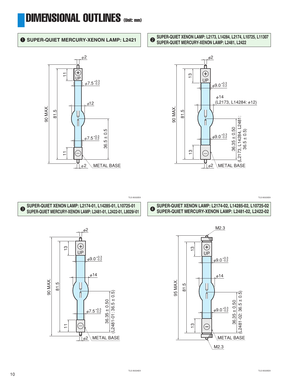## DIMENSIONAL OUTLINES (Unit: mm)

### **1** SUPER-QUIET MERCURY-XENON LAMP: L2421 **2** SUPER-QUIET XENON LAMP: L2173, L14284, L2174, L10725, L11307



### $\phi$ <sup>2</sup> f  $\bigoplus$  $\overline{5}$ UP  $9.0_{-0.2}^{+0.3}$  $\phi$ 14 (L2173, L14284:  $\phi$ 12)

**SUPER-QUIET MERCURY-XENON LAMP: L2481, L2422**



TLS A0022EA TLS A0023EA

4 **SUPER-QUIET XENON LAMP: L2174-02, L14285-02, L10725-02 SUPER-QUIET MERCURY-XENON LAMP: L2481-02, L2422-02**

### 3 **SUPER-QUIET XENON LAMP: L2174-01, L14285-01, L10725-01 SUPER-QUIET MERCURY-XENON LAMP: L2481-01, L2422-01, L8029/-01**



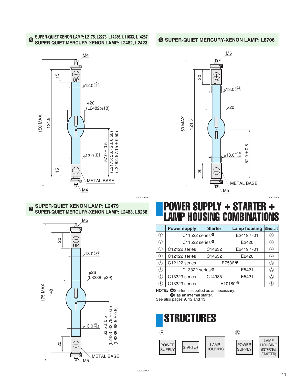### 5 **SUPER-QUIET XENON LAMP: L2175, L2273, L14286, L11033, L14287 SUPER-QUIET MERCURY-XENON LAMP: L2482, L2423**



### **8 SUPER-QUIET XENON LAMP: L2479 SUPER-QUIET MERCURY-XENON LAMP: L2483, L8288**



### 6 **SUPER-QUIET MERCURY-XENON LAMP: L8706**



TLS A0027EA

## POWER SUPPLY + STARTER + LAMP HOUSING COMBINATIONS

|                  | <b>Power supply</b>        | <b>Starter</b> | <b>Lamp housing</b> | Structure                              |  |  |  |
|------------------|----------------------------|----------------|---------------------|----------------------------------------|--|--|--|
|                  | C11522 series $\bullet$    |                | E2419 / -01         | A)                                     |  |  |  |
| $\left[2\right]$ | C11522 series <sup>®</sup> |                | E2420               | A                                      |  |  |  |
| $\left(3\right)$ | C12122 series              | C14632         | E2419 / -01         | $^\text{}_\textcircled{\scriptsize A}$ |  |  |  |
| $\left(4\right)$ | C12122 series              | C14632         | E2420               | $\circledA$                            |  |  |  |
| 5)               | C12122 series              |                | E7536 $\circ$       |                                        |  |  |  |
| 6                | C13322 series $\bullet$    |                | E5421               | ®                                      |  |  |  |
|                  | C13323 series              | C14985         | E5421               | $(\!\mathsf{A}\!)$                     |  |  |  |
| $\overline{8}$   | C13323 series              |                | E10180 <sup>®</sup> | B)                                     |  |  |  |

**NOTE: O**Starter is supplied as an necessary. **B**Has an internal starter.

See also pages 9, 12 and 13.

## STRUCTURES



TLS A0026EA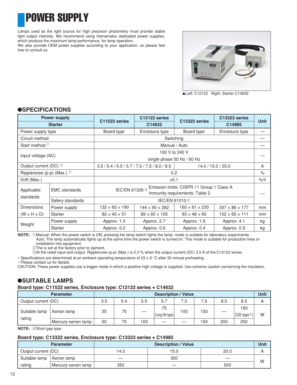## POWER SUPPLY

Lamps used as the light source for high precision photometry must provide stable light output intensity. We recommend using Hamamatsu dedicated power supplies, which produce the maximum lamp performance, for lamp operation. We also provide OEM power supplies according to your application, so please feel free to consult us.



▲Left: C12122 Right: Starter C14632

### ●**SPECIFICATIONS**

| <b>Power supply</b><br><b>Starter</b>  |                                                                                                |                                                  | C12122 series              |                                           | C13323 series              |                 |  |  |
|----------------------------------------|------------------------------------------------------------------------------------------------|--------------------------------------------------|----------------------------|-------------------------------------------|----------------------------|-----------------|--|--|
|                                        |                                                                                                | C11522 series                                    | C14632                     | C13322 series                             | C14985                     | <b>Unit</b>     |  |  |
| Power supply type                      |                                                                                                | Board type                                       | Enclosure type             | Board type                                | Enclosure type             |                 |  |  |
| Circuit method                         |                                                                                                |                                                  |                            | Switching                                 |                            |                 |  |  |
| Start method <sup>1</sup>              |                                                                                                |                                                  |                            | Manual / Auto                             |                            |                 |  |  |
|                                        |                                                                                                |                                                  |                            | 100 V to 240 V                            |                            |                 |  |  |
| Input voltage (AC)                     |                                                                                                |                                                  | single phase 50 Hz / 60 Hz |                                           |                            |                 |  |  |
|                                        | Output current (DC) 2<br>$3.5 / 5.4 / 5.5 / 5.7 / 7.0 / 7.5 / 8.0 / 8.5$<br>14.0 / 15.0 / 20.0 |                                                  |                            |                                           |                            | A               |  |  |
| Ripplenoise (p-p) (Max.) $\circled{3}$ |                                                                                                |                                                  | 0.2                        |                                           |                            |                 |  |  |
| Drift (Max.)                           |                                                                                                |                                                  | ±0.1                       |                                           |                            | $\frac{9}{6}$ h |  |  |
| Applicable                             | <b>EMC</b> standards                                                                           |                                                  |                            | Emission limits: CISPR 11 Group 1 Class A |                            |                 |  |  |
| standards                              |                                                                                                | IEC/EN 61326-1<br>Immunity requirements: Table 2 |                            |                                           |                            |                 |  |  |
|                                        | Safery standards                                                                               |                                                  |                            | IEC/EN 61010-1                            |                            |                 |  |  |
| <b>Dimensions</b>                      | Power supply                                                                                   | $132 \times 60 \times 190$                       | $144 \times 90 \times 282$ | $160 \times 61 \times 230$                | $337 \times 86 \times 177$ | mm              |  |  |
| $(W \times H \times D)$                | Starter                                                                                        | $82 \times 40 \times 51$                         | $89 \times 60 \times 100$  | $93 \times 48 \times 60$                  | $102 \times 65 \times 111$ | mm              |  |  |
|                                        | Power supply                                                                                   | Approx. 1.0                                      | Approx. 2.7                | Approx. 1.6                               | Approx. 4.1                | kg              |  |  |
| Weight                                 | Starter                                                                                        | Approx. 0.2                                      | Approx. 0.6                | Approx. 0.4                               | Approx. 0.9                | kg              |  |  |

**NOTE:** 1Manual: When the power switch is ON, pressing the lamp switch lights the lamp. mode is suitable for laboratory experiments. Auto: The lamp automatically lights up at the same time the power switch is turned on. This mode is suitable for production lines or

installation into equipment. 2The is set at the factory prior to sipment.

3At the rated input and output. Ripplenoise (p-p) (Max.) is 0.3 % when the output current (DC) 3.5 A of the C12122 series.

∗ Specifications are determined at an ambient operating temperature of 23 ± 5 °C after 30 minute preheating.

∗ Please contact us for details.

CAUTION: These power supplies use a trigger mode in which a positive high voltage is supplied. Use extreme caution concerning the insulation.

### ●**SUITABLE LAMPS**

### **Board type: C11522 series, Enclosure type: C12122 series + C14632**

|                     | <b>Parameter</b>   | <b>Description / Value</b> |     |     |                        |     |     |     | Unit                            |   |
|---------------------|--------------------|----------------------------|-----|-----|------------------------|-----|-----|-----|---------------------------------|---|
| Output current (DC) |                    | 3.5                        | 5.4 | 5.5 | 5.7                    | 7.0 | 5.′ | 8.0 | 8.5                             |   |
| Suitable lamp       | Xenon lamp         | 35                         | 75  |     | 75<br>(Long life type) | 100 | 150 |     | 150<br> (GS type <sup>4</sup> ) | W |
| rating              | Mercury-xenon lamp | 50                         | 75  | 100 |                        |     | 150 | 200 | 250                             |   |

**NOTE:** 4Short gap type

### **Board type: C13322 series, Enclosure type: C13323 series + C14985**

|                     | <b>Parameter</b>   |      | <b>Description / Value</b> |      | Unit |
|---------------------|--------------------|------|----------------------------|------|------|
| Output current (DC) |                    | 14.0 | 15.0                       | 20.0 |      |
| Suitable lamp       | Xenon lamp         |      | 300                        |      | W    |
| rating              | Mercury-xenon lamp | 350  | __                         | 500  |      |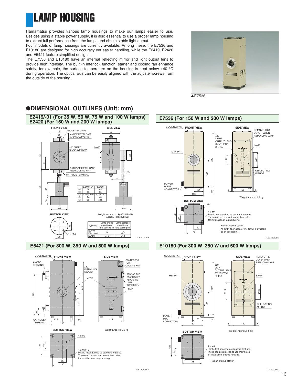LAMP HOUSING

Hamamatsu provides various lamp housings to make our lamps easier to use. Besides using a stable power supply, it is also essential to use a proper lamp housing to extract full performance from the lamps and obtain stable light output.

Four models of lamp housings are currently available. Among these, the E7536 and E10180 are designed for high accuracy yet easier handling, while the E2419, E2420 and E5421 feature simplified designs.

The E7536 and E10180 have an internal reflecting mirror and light output lens to provide high intensity. The built-in interlock function, starter and cooling fan enhance safety, for example, the surface temperature on the housing is kept below +40 °C during operation. The optical axis can be easily aligned with the adjuster screws from the outside of the housing.

●**DIMENSIONAL OUTLINES (Unit: mm)**











TLSXA0105ED TLS A0001EC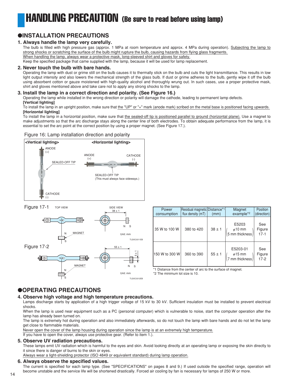## HANDLING PRECAUTION (Be sure to read before using lamp)

### ●**INSTALLATION PRECAUTIONS**

### **1. Always handle the lamp very carefully.**

The bulb is filled with high pressure gas (approx. 1 MPa at room temperature and approx. 4 MPa during operation). Subjecting the lamp to strong shocks or scratching the surface of the bulb might rupture the bulb, causing hazards from flying glass fragments. When handling the lamp, always wear a protective mask, long-sleeved shirt and gloves for safety.

Keep the specified package that came supplied with the lamp, because it will be used for lamp replacement.

### **2. Never touch the bulb with bare hands.**

Operating the lamp with dust or grime still on the bulb causes it to thermally stick on the bulb and cuts the light transmittance. This results in low light output intensity and also lowers the mechanical strength of the glass bulb. If dust or grime adheres to the bulb, gently wipe it off the bulb using absorbent cotton or gauze moistened with high-quality alcohol and thoroughly wrung out. In such cases, use a proper protective mask, shirt and gloves mentioned above and take care not to apply any strong shocks to the lamp.

### **3. Install the lamp in a correct direction and polarity. (See Figure 16.)**

Operating the lamp while installed in the wrong direction or polarity will damage the cathode, leading to permanent lamp defects.

#### **[Vertical lighting]**

To install the lamp in an upright position, make sure that the "UP" or "+" mark (anode mark) scribed on the metal base is positioned facing upwards. **[Horizontal lighting]**

To install the lamp in a horizontal position, make sure that the sealed-off tip is positioned parallel to ground (horizontal plane). Use a magnet to make adjustments so that the arc discharge stays along the center line of both electrodes. To obtain adequate performance from the lamp, it is essential to set the arc point at the correct position by using a proper magnet. (See Figure 17.).

### Figure 16: Lamp installation direction and polarity



Figure 17-1



| Power<br>consumption | Residual magnetic Distance*1<br>flux density (mT) | (mm)       | Magnet<br>example <sup>*2</sup>                                       | Position<br>(direction) |
|----------------------|---------------------------------------------------|------------|-----------------------------------------------------------------------|-------------------------|
| 35 W to 100 W        | 380 to 420                                        | $38 \pm 1$ | E5203<br>$\binom{\phi 10 \text{ mm}}{5 \text{ mm} \text{ thickness}}$ | See<br>Figure<br>$17-1$ |
| 150 W to 300 W       | 360 to 390                                        | $55 \pm 1$ | E5203-01<br>$\phi$ 15 mm<br>7 mm thickness                            | See<br>Figure<br>$17-2$ |

\*1 Distance from the center of arc to the surface of magnet.

\*2 The minimum lot size is 10.

### ●**OPERATING PRECAUTIONS**

### **4. Observe high voltage and high temperature precautions.**

Lamps discharge starts by application of a high trigger voltage of 15 kV to 30 kV. Sufficient insulation must be installed to prevent electrical shocks.

When the lamp is used near equipment such as a PC (personal computer) which is vulnerable to noise, start the computer operation after the lamp has already been turned on.

The lamp is extremely hot during operation and also immediately afterwards, so do not touch the lamp with bare hands and do not let the lamp get close to flammable materials.

Never open the cover of the lamp housing during operation since the lamp is at an extremely high temperature.

If you have to open the cover, always use protective gear. (Refer to item 1.).

### **5. Observe UV radiation precautions.**

These lamps emit UV radiation which is harmful to the eyes and skin. Avoid looking directly at an operating lamp or exposing the skin directly to it since there is danger of burns to the skin or eyes.

Always wear a light-shielding protector (ISO 4849 or equivalent standard) during lamp operation.

### **6. Always observe the specified values.**

The current is specified for each lamp type. (See "SPECIFICATIONS" on pages 8 and 9.) If used outside the specified range, operation will become unstable and the service life will be shortened drastically. Forced air cooling by fan is necessary for lamps of 250 W or more.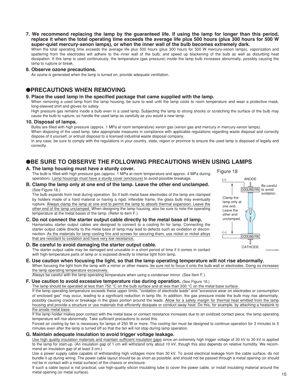**7. We recommend replacing the lamp by the guaranteed life. If using the lamp for longer than this period, replace it when the total operating time exceeds the average life plus 500 hours (plus 300 hours for 500 W super-quiet mercury-xenon lamps), or when the inner wall of the bulb becomes extremely dark.**

When the total operating time exceeds the average life plus 500 hours (plus 300 hours for 500 W mercury-xenon lamps), vaporization and spattering from the electrodes will adhere to the inner wall of the bulb, and speed up blackening of the bulb as well as disturbing heat dissipation. If this lamp is used continuously, the temperature (gas pressure) inside the lamp bulb increases abnormally, possibly causing the lamp to rupture or break.

### **8. Observe ozone precautions.**

As ozone is generated when the lamp is turned on, provide adequate ventilation.

### ●**PRECAUTIONS WHEN REMOVING**

### **9. Place the used lamp in the specified package that came supplied with the lamp.**

When removing a used lamp from the lamp housing, be sure to wait until the lamp cools to room temperature and wear a protective mask, long-sleeved shirt and gloves for safety.

High pressure gas remains inside a bulb even in a used lamp. Subjecting the lamp to strong shocks or scratching the surface of the bulb may cause the bulb to rupture, so handle the used lamp as carefully as you would a new lamp.

### **10. Disposal of lamps.**

Bulbs are filled with high pressure (approx. 1 MPa at room temperature) xenon gas (xenon gas and mercury in mercury-xenon lamps).

When disposing of the used lamp, take appropriate measures in compliance with applicable regulations regarding waste disposal and correctly dispose of it yourself, or entrust disposal to a licensed industrial waste disposal company.

In any case, be sure to comply with the regulations in your country, state, region or province to ensure the used lamp is disposed of legally and correctly.

### ●**BE SURE TO OBSERVE THE FOLLOWING PRECAUTIONS WHEN USING LAMPS**

### **A. The lamp housing must have a sturdy cover.**

The bulb is filled with high pressure gas (approx. 1 MPa at room temperature and approx. 4 MPa during operation). Lamp housings must have a sturdy cover (enclosure) to avoid possible breakage.

**B. Clamp the lamp only at one end of the lamp. Leave the other end unclamped.**  (See Figure 18.)

The bulb expands from heat during operation. So if both metal base electrodes of the lamp are clamped by holders made of a hard material or having a rigid, inflexible frame, the glass bulb may eventually rupture. Always clamp the lamp at one end to permit the lamp to absorb thermal expansion. Leave the other end of the lamp unclamped. When designing the lamp housing, also be sure to note the operating temperature at the metal bases of the lamp. (Refer to item F.).

### **C. Do not connect the starter output cable directly to the metal base of lamp.** Hamamatsu starter output cables are designed to connect to a cooling fin for lamp. Connecting the starter output cable directly to the metal base of lamp may lead to defects such as oxidation or discon-

nection. As the materials for lamp cooling fins and screws for securing them, use nickel or nickel alloys that are resistant to oxidation and have very low resistance. **D. Be careful to avoid damaging the starter output cable.**

- The starter output cable may be damaged and unusable in a short period of time if it comes in contact with high-temperature parts of lamp or is exposed directly to intense light from lamp.
- Figure 18 Be careful to avoid oxidation. (–) (+) ANODE **CATHODE** COOLING FIN COOLING FIN Clamp the lamp only at one end. Leave the other end unclamped.

#### **E. Use caution when focusing the light, so that the lamp operating temperature will not rise abnormally.** When focusing the light from the lamp with a mirror or other means, be sure not to focus it onto the bulb wall or electrodes. Doing so increases the lamp operating temperature excessively.

Always be careful with the lamp operating temperature when using a condenser mirror. (See Item F.).

### **F. Use caution to avoid excessive temperature rise during operation.** (See Figure 18.)

The lamp should be operated at less than 750 °C on the bulb surface and at less than 200 °C on the metal base surface. If the lamp operating temperature exceeds these upper limits, "oxidation of electrode leads" and "excessive wear on electrodes or consumption of enclosed gas" may occur, leading to a significant reduction in lamp life. In addition, the gas pressure inside the bulb may rise abnormally, possibly causing cracks or breakage in the glass portion around the leads. Allow for a safety margin for thermal heat emitted from the lamp housing and provide a structure or use materials that efficiently dissipate or conduct away heat. Do this, for example, by attaching a heatsink to

#### the anode metal base.

If the lamp holder makes poor contact with the metal base or contact resistance increases due to an oxidized contact piece, the lamp operating temperature will rise abnormally. Take sufficient precautions to avoid this.

Forced air cooling by fan is necessary for lamps of 250 W or more. The cooling fan must be designed to continue operation for 3 minutes to 5 minutes even after the lamp is turned off so that the fan will not stop during lamp operation.

### **G. Maintain adequate insulation to avoid trigger voltage leakage.**

Use high quality insulation materials and maintain sufficient insulation gaps since an extremely high trigger voltage of 20 kV to 30 kV is applied to the lamp for start-up. (An insulation gap of 1 cm will withstand only about 10 kV, though this also depends on relative humidity. We recommend an insulation gap of at least 3 cm.)

Use a power supply cable capable of withstanding high voltages more than 30 kV. To avoid electrical leakage from the cable surface, do not bundle it up during wiring. The power cable layout should be as short as possible, and should not be passed through a metal opening (or should not be in contact with a metal surface) of the chassis or enclosure.

If such a cable layout is not practical, use high-quality silicon insulating tube to cover the power cable, or install insulating material around the metal opening (or metal surface).